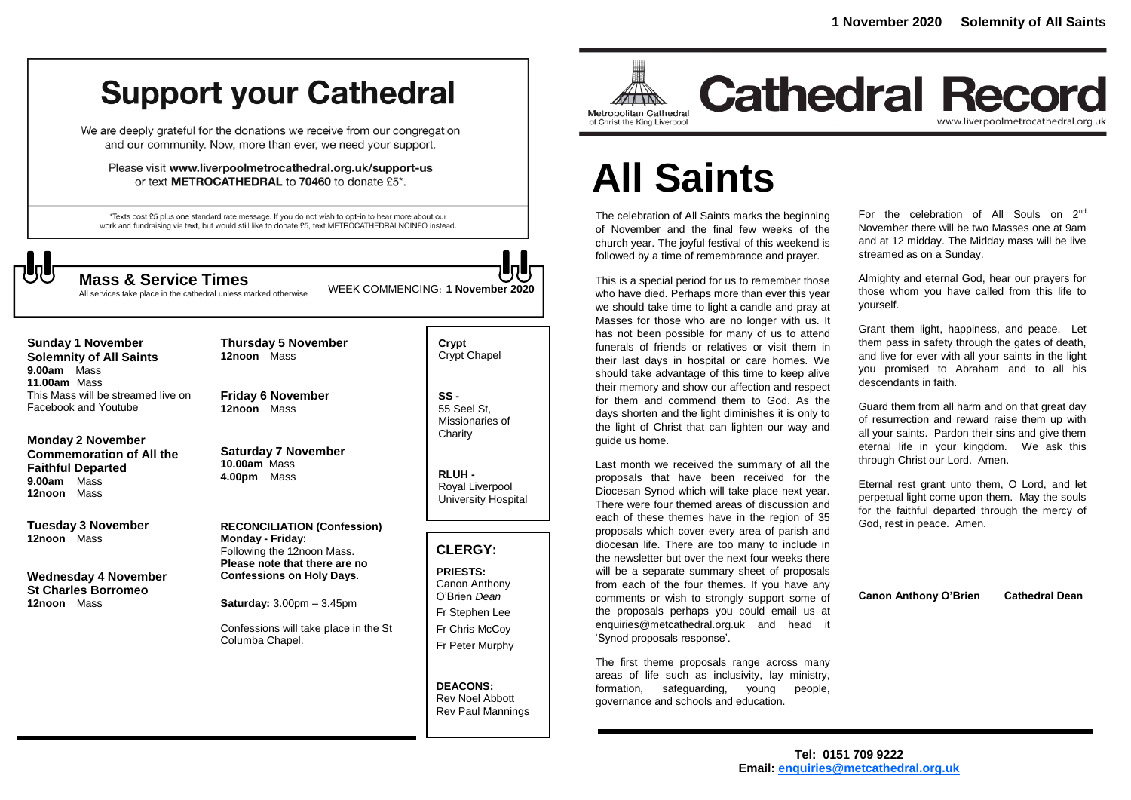# **Support your Cathedral**

We are deeply grateful for the donations we receive from our congregation and our community. Now, more than ever, we need your support.

Please visit www.liverpoolmetrocathedral.org.uk/support-us or text METROCATHEDRAL to 70460 to donate £5\*.

\*Texts cost £5 plus one standard rate message. If you do not wish to opt-in to hear more about our work and fundraising via text, but would still like to donate £5, text METROCATHEDRALNOINFO instead.

All services take place in the cathedral unless marked otherwise

WEEK COMMENCING: **1 November <sup>2020</sup> Mass & Service Times**

**Sunday 1 November Solemnity of All Saints 9.00am** Mass **11.00am** Mass This Mass will be streamed live on Facebook and Youtube

**Monday 2 November Commemoration of All the Faithful Departed 9.00am** Mass **12noon** Mass

**Tuesday 3 November 12noon** Mass

**Wednesday 4 November St Charles Borromeo 12noon** Mass

**Friday 6 November 12noon** Mass

**Thursday 5 November** 

**12noon** Mass

**Saturday 7 November 10.00am** Mass **4.00pm** Mass

**RECONCILIATION (Confession) Monday - Friday**: Following the 12noon Mass. **Please note that there are no Confessions on Holy Days.**

**Saturday:** 3.00pm – 3.45pm

Confessions will take place in the St Columba Chapel.

**Crypt**  Crypt Chapel

**SS -** 55 Seel St, Missionaries of **Charity** 

**RLUH -** Royal Liverpool University Hospital

#### **CLERGY:**

**PRIESTS:** Canon Anthony O'Brien *Dean* Fr Stephen Lee Fr Chris McCoy Fr Peter Murphy

**DEACONS:** Rev Noel Abbott Rev Paul Mannings



**Cathedral Record** www.liverpoolmetrocathedral.org.uk

# **All Saints**

The celebration of All Saints marks the beginning of November and the final few weeks of the church year. The joyful festival of this weekend is followed by a time of remembrance and prayer.

This is a special period for us to remember those who have died. Perhaps more than ever this year we should take time to light a candle and pray at Masses for those who are no longer with us. It has not been possible for many of us to attend funerals of friends or relatives or visit them in their last days in hospital or care homes. We should take advantage of this time to keep alive their memory and show our affection and respect for them and commend them to God. As the days shorten and the light diminishes it is only to the light of Christ that can lighten our way and guide us home.

Last month we received the summary of all the proposals that have been received for the Diocesan Synod which will take place next year. There were four themed areas of discussion and each of these themes have in the region of 35 proposals which cover every area of parish and diocesan life. There are too many to include in the newsletter but over the next four weeks there will be a separate summary sheet of proposals from each of the four themes. If you have any comments or wish to strongly support some of the proposals perhaps you could email us at enquiries@metcathedral.org.uk and head it 'Synod proposals response'.

The first theme proposals range across many areas of life such as inclusivity, lay ministry, formation, safeguarding, young people, governance and schools and education.

For the celebration of All Souls on 2<sup>nd</sup> November there will be two Masses one at 9am and at 12 midday. The Midday mass will be live streamed as on a Sunday.

Almighty and eternal God, hear our prayers for those whom you have called from this life to yourself.

Grant them light, happiness, and peace. Let them pass in safety through the gates of death, and live for ever with all your saints in the light you promised to Abraham and to all his descendants in faith.

Guard them from all harm and on that great day of resurrection and reward raise them up with all your saints. Pardon their sins and give them eternal life in your kingdom. We ask this through Christ our Lord. Amen.

Eternal rest grant unto them, O Lord, and let perpetual light come upon them. May the souls for the faithful departed through the mercy of God, rest in peace. Amen.

**Canon Anthony O'Brien Cathedral Dean**